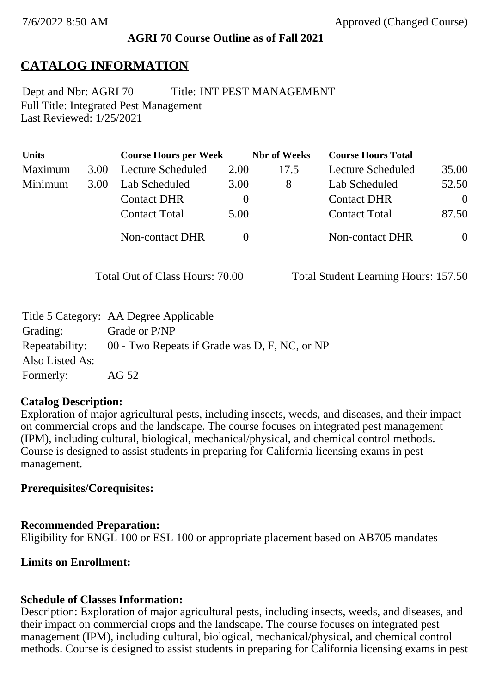### **AGRI 70 Course Outline as of Fall 2021**

# **CATALOG INFORMATION**

Full Title: Integrated Pest Management Last Reviewed: 1/25/2021 Dept and Nbr: AGRI 70 Title: INT PEST MANAGEMENT

| <b>Units</b> |      | <b>Course Hours per Week</b> |          | <b>Nbr</b> of Weeks | <b>Course Hours Total</b> |                |
|--------------|------|------------------------------|----------|---------------------|---------------------------|----------------|
| Maximum      | 3.00 | Lecture Scheduled            | 2.00     | 17.5                | Lecture Scheduled         | 35.00          |
| Minimum      | 3.00 | Lab Scheduled                | 3.00     | 8                   | Lab Scheduled             | 52.50          |
|              |      | <b>Contact DHR</b>           | $\theta$ |                     | <b>Contact DHR</b>        | $\Omega$       |
|              |      | <b>Contact Total</b>         | 5.00     |                     | <b>Contact Total</b>      | 87.50          |
|              |      | <b>Non-contact DHR</b>       |          |                     | <b>Non-contact DHR</b>    | $\overline{0}$ |

Total Out of Class Hours: 70.00 Total Student Learning Hours: 157.50

|                 | Title 5 Category: AA Degree Applicable        |
|-----------------|-----------------------------------------------|
| Grading:        | Grade or P/NP                                 |
| Repeatability:  | 00 - Two Repeats if Grade was D, F, NC, or NP |
| Also Listed As: |                                               |
| Formerly:       | AG 52                                         |

### **Catalog Description:**

Exploration of major agricultural pests, including insects, weeds, and diseases, and their impact on commercial crops and the landscape. The course focuses on integrated pest management (IPM), including cultural, biological, mechanical/physical, and chemical control methods. Course is designed to assist students in preparing for California licensing exams in pest management.

# **Prerequisites/Corequisites:**

### **Recommended Preparation:**

Eligibility for ENGL 100 or ESL 100 or appropriate placement based on AB705 mandates

# **Limits on Enrollment:**

# **Schedule of Classes Information:**

Description: Exploration of major agricultural pests, including insects, weeds, and diseases, and their impact on commercial crops and the landscape. The course focuses on integrated pest management (IPM), including cultural, biological, mechanical/physical, and chemical control methods. Course is designed to assist students in preparing for California licensing exams in pest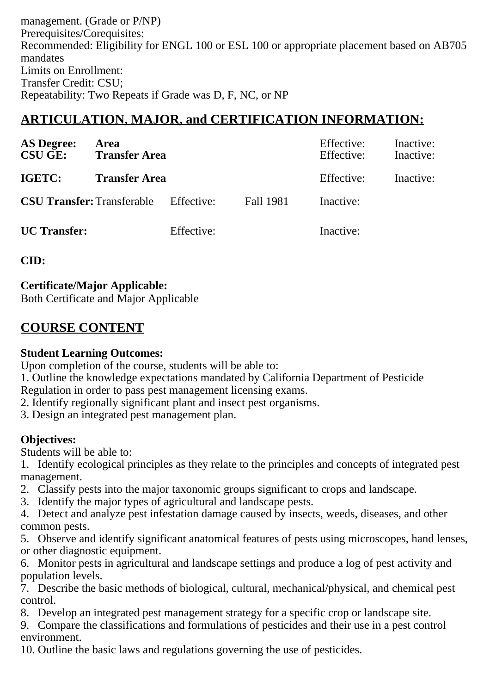management. (Grade or P/NP) Prerequisites/Corequisites: Recommended: Eligibility for ENGL 100 or ESL 100 or appropriate placement based on AB705 mandates Limits on Enrollment: Transfer Credit: CSU; Repeatability: Two Repeats if Grade was D, F, NC, or NP

# **ARTICULATION, MAJOR, and CERTIFICATION INFORMATION:**

| <b>AS Degree:</b><br><b>CSU GE:</b> | Area<br><b>Transfer Area</b> |            | Effective:<br>Effective: | Inactive:<br>Inactive: |           |
|-------------------------------------|------------------------------|------------|--------------------------|------------------------|-----------|
| IGETC:                              | <b>Transfer Area</b>         |            |                          | Effective:             | Inactive: |
| <b>CSU Transfer: Transferable</b>   |                              | Effective: | <b>Fall 1981</b>         | Inactive:              |           |
| <b>UC</b> Transfer:                 |                              | Effective: |                          | Inactive:              |           |

**CID:**

**Certificate/Major Applicable:** 

[Both Certificate and Major Applicable](SR_ClassCheck.aspx?CourseKey=AGRI70)

# **COURSE CONTENT**

#### **Student Learning Outcomes:**

Upon completion of the course, students will be able to:

- 1. Outline the knowledge expectations mandated by California Department of Pesticide Regulation in order to pass pest management licensing exams.
- 2. Identify regionally significant plant and insect pest organisms.
- 3. Design an integrated pest management plan.

### **Objectives:**

Students will be able to:

- 1. Identify ecological principles as they relate to the principles and concepts of integrated pest management.
- 2. Classify pests into the major taxonomic groups significant to crops and landscape.
- 3. Identify the major types of agricultural and landscape pests.
- 4. Detect and analyze pest infestation damage caused by insects, weeds, diseases, and other common pests.

5. Observe and identify significant anatomical features of pests using microscopes, hand lenses, or other diagnostic equipment.

6. Monitor pests in agricultural and landscape settings and produce a log of pest activity and population levels.

7. Describe the basic methods of biological, cultural, mechanical/physical, and chemical pest control.

8. Develop an integrated pest management strategy for a specific crop or landscape site.

9. Compare the classifications and formulations of pesticides and their use in a pest control environment.

10. Outline the basic laws and regulations governing the use of pesticides.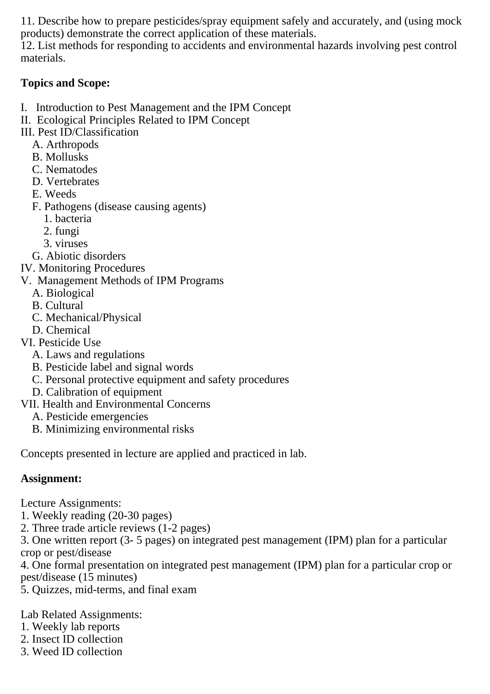11. Describe how to prepare pesticides/spray equipment safely and accurately, and (using mock products) demonstrate the correct application of these materials.

12. List methods for responding to accidents and environmental hazards involving pest control materials.

### **Topics and Scope:**

- I. Introduction to Pest Management and the IPM Concept
- II. Ecological Principles Related to IPM Concept
- III. Pest ID/Classification
	- A. Arthropods
	- B. Mollusks
	- C. Nematodes
	- D. Vertebrates
	- E. Weeds
	- F. Pathogens (disease causing agents)
		- 1. bacteria
		- 2. fungi
		- 3. viruses
	- G. Abiotic disorders
- IV. Monitoring Procedures
- V. Management Methods of IPM Programs
	- A. Biological
	- B. Cultural
	- C. Mechanical/Physical
	- D. Chemical
- VI. Pesticide Use
	- A. Laws and regulations
	- B. Pesticide label and signal words
	- C. Personal protective equipment and safety procedures
	- D. Calibration of equipment
- VII. Health and Environmental Concerns
	- A. Pesticide emergencies
	- B. Minimizing environmental risks

Concepts presented in lecture are applied and practiced in lab.

### **Assignment:**

Lecture Assignments:

- 1. Weekly reading (20-30 pages)
- 2. Three trade article reviews (1-2 pages)

3. One written report (3- 5 pages) on integrated pest management (IPM) plan for a particular crop or pest/disease

4. One formal presentation on integrated pest management (IPM) plan for a particular crop or pest/disease (15 minutes)

5. Quizzes, mid-terms, and final exam

Lab Related Assignments:

- 1. Weekly lab reports
- 2. Insect ID collection
- 3. Weed ID collection